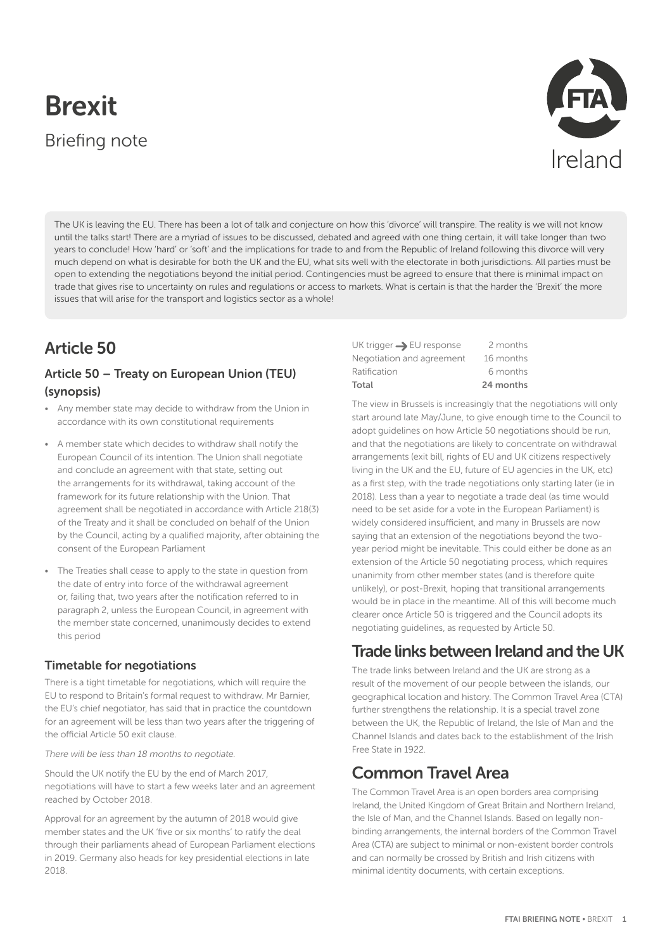# Brexit Briefing note



The UK is leaving the EU. There has been a lot of talk and conjecture on how this 'divorce' will transpire. The reality is we will not know until the talks start! There are a myriad of issues to be discussed, debated and agreed with one thing certain, it will take longer than two years to conclude! How 'hard' or 'soft' and the implications for trade to and from the Republic of Ireland following this divorce will very much depend on what is desirable for both the UK and the EU, what sits well with the electorate in both jurisdictions. All parties must be open to extending the negotiations beyond the initial period. Contingencies must be agreed to ensure that there is minimal impact on trade that gives rise to uncertainty on rules and regulations or access to markets. What is certain is that the harder the 'Brexit' the more issues that will arise for the transport and logistics sector as a whole!

# Article 50

### Article 50 – Treaty on European Union (TEU) (synopsis)

- Any member state may decide to withdraw from the Union in accordance with its own constitutional requirements
- A member state which decides to withdraw shall notify the European Council of its intention. The Union shall negotiate and conclude an agreement with that state, setting out the arrangements for its withdrawal, taking account of the framework for its future relationship with the Union. That agreement shall be negotiated in accordance with Article 218(3) of the Treaty and it shall be concluded on behalf of the Union by the Council, acting by a qualified majority, after obtaining the consent of the European Parliament
- The Treaties shall cease to apply to the state in question from the date of entry into force of the withdrawal agreement or, failing that, two years after the notification referred to in paragraph 2, unless the European Council, in agreement with the member state concerned, unanimously decides to extend this period

### Timetable for negotiations

There is a tight timetable for negotiations, which will require the EU to respond to Britain's formal request to withdraw. Mr Barnier, the EU's chief negotiator, has said that in practice the countdown for an agreement will be less than two years after the triggering of the official Article 50 exit clause.

#### *There will be less than 18 months to negotiate.*

Should the UK notify the EU by the end of March 2017, negotiations will have to start a few weeks later and an agreement reached by October 2018.

Approval for an agreement by the autumn of 2018 would give member states and the UK 'five or six months' to ratify the deal through their parliaments ahead of European Parliament elections in 2019. Germany also heads for key presidential elections in late 2018.

UK trigger  $\rightarrow$  EU response 2 months Negotiation and agreement 16 months Ratification 6 months Total 24 months

The view in Brussels is increasingly that the negotiations will only start around late May/June, to give enough time to the Council to adopt guidelines on how Article 50 negotiations should be run, and that the negotiations are likely to concentrate on withdrawal arrangements (exit bill, rights of EU and UK citizens respectively living in the UK and the EU, future of EU agencies in the UK, etc) as a first step, with the trade negotiations only starting later (ie in 2018). Less than a year to negotiate a trade deal (as time would need to be set aside for a vote in the European Parliament) is widely considered insufficient, and many in Brussels are now saying that an extension of the negotiations beyond the twoyear period might be inevitable. This could either be done as an extension of the Article 50 negotiating process, which requires unanimity from other member states (and is therefore quite unlikely), or post-Brexit, hoping that transitional arrangements would be in place in the meantime. All of this will become much clearer once Article 50 is triggered and the Council adopts its negotiating guidelines, as requested by Article 50.

# Trade links between Ireland and the UK

The trade links between Ireland and the UK are strong as a result of the movement of our people between the islands, our geographical location and history. The Common Travel Area (CTA) further strengthens the relationship. It is a special travel zone between the UK, the Republic of Ireland, the Isle of Man and the Channel Islands and dates back to the establishment of the Irish Free State in 1922.

## Common Travel Area

The Common Travel Area is an open borders area comprising Ireland, the United Kingdom of Great Britain and Northern Ireland, the Isle of Man, and the Channel Islands. Based on legally nonbinding arrangements, the internal borders of the Common Travel Area (CTA) are subject to minimal or non-existent border controls and can normally be crossed by British and Irish citizens with minimal identity documents, with certain exceptions.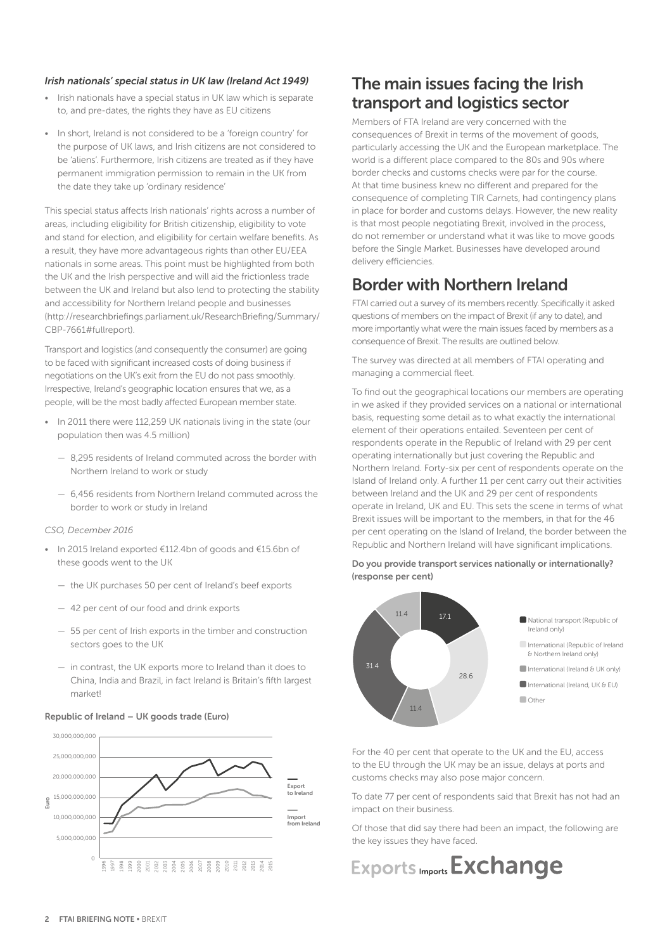#### *Irish nationals' special status in UK law (Ireland Act 1949)*

- Irish nationals have a special status in UK law which is separate to, and pre-dates, the rights they have as EU citizens
- In short, Ireland is not considered to be a 'foreign country' for the purpose of UK laws, and Irish citizens are not considered to be 'aliens'. Furthermore, Irish citizens are treated as if they have permanent immigration permission to remain in the UK from the date they take up 'ordinary residence'

This special status affects Irish nationals' rights across a number of areas, including eligibility for British citizenship, eligibility to vote and stand for election, and eligibility for certain welfare benefits. As a result, they have more advantageous rights than other EU/EEA nationals in some areas. This point must be highlighted from both the UK and the Irish perspective and will aid the frictionless trade between the UK and Ireland but also lend to protecting the stability and accessibility for Northern Ireland people and businesses (http://researchbriefings.parliament.uk/ResearchBriefing/Summary/ CBP-7661#fullreport).

Transport and logistics (and consequently the consumer) are going to be faced with significant increased costs of doing business if negotiations on the UK's exit from the EU do not pass smoothly. Irrespective, Ireland's geographic location ensures that we, as a people, will be the most badly affected European member state.

- In 2011 there were 112,259 UK nationals living in the state (our population then was 4.5 million)
	- 8,295 residents of Ireland commuted across the border with Northern Ireland to work or study
	- 6,456 residents from Northern Ireland commuted across the border to work or study in Ireland

#### *CSO, December 2016*

- In 2015 Ireland exported €112.4bn of goods and €15.6bn of these goods went to the UK
	- the UK purchases 50 per cent of Ireland's beef exports
	- 42 per cent of our food and drink exports
	- 55 per cent of Irish exports in the timber and construction sectors goes to the UK
	- in contrast, the UK exports more to Ireland than it does to China, India and Brazil, in fact Ireland is Britain's fifth largest market!

#### Republic of Ireland – UK goods trade (Euro)



# The main issues facing the Irish transport and logistics sector

Members of FTA Ireland are very concerned with the consequences of Brexit in terms of the movement of goods, particularly accessing the UK and the European marketplace. The world is a different place compared to the 80s and 90s where border checks and customs checks were par for the course. At that time business knew no different and prepared for the consequence of completing TIR Carnets, had contingency plans in place for border and customs delays. However, the new reality is that most people negotiating Brexit, involved in the process, do not remember or understand what it was like to move goods before the Single Market. Businesses have developed around delivery efficiencies.

# Border with Northern Ireland

FTAI carried out a survey of its members recently. Specifically it asked questions of members on the impact of Brexit (if any to date), and more importantly what were the main issues faced by members as a consequence of Brexit. The results are outlined below.

The survey was directed at all members of FTAI operating and managing a commercial fleet.

To find out the geographical locations our members are operating in we asked if they provided services on a national or international basis, requesting some detail as to what exactly the international element of their operations entailed. Seventeen per cent of respondents operate in the Republic of Ireland with 29 per cent operating internationally but just covering the Republic and Northern Ireland. Forty-six per cent of respondents operate on the Island of Ireland only. A further 11 per cent carry out their activities between Ireland and the UK and 29 per cent of respondents operate in Ireland, UK and EU. This sets the scene in terms of what Brexit issues will be important to the members, in that for the 46 per cent operating on the Island of Ireland, the border between the Republic and Northern Ireland will have significant implications.



Do you provide transport services nationally or internationally? (response per cent)

For the 40 per cent that operate to the UK and the EU, access to the EU through the UK may be an issue, delays at ports and customs checks may also pose major concern.

To date 77 per cent of respondents said that Brexit has not had an impact on their business.

Of those that did say there had been an impact, the following are the key issues they have faced.

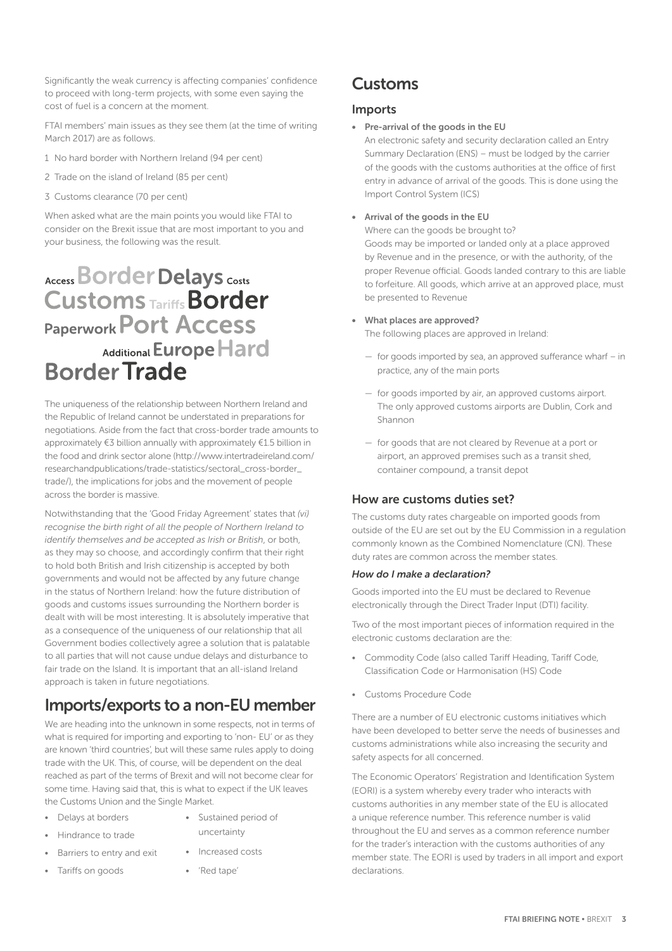Significantly the weak currency is affecting companies' confidence to proceed with long-term projects, with some even saying the cost of fuel is a concern at the moment.

FTAI members' main issues as they see them (at the time of writing March 2017) are as follows.

- 1 No hard border with Northern Ireland (94 per cent)
- 2 Trade on the island of Ireland (85 per cent)
- 3 Customs clearance (70 per cent)

When asked what are the main points you would like FTAI to consider on the Brexit issue that are most important to you and your business, the following was the result.

# Access Border Delays Costs **Customs Tariffs Border Paperwork POrt Access** Additional Europe Hard **Border Trade**

The uniqueness of the relationship between Northern Ireland and the Republic of Ireland cannot be understated in preparations for negotiations. Aside from the fact that cross-border trade amounts to approximately €3 billion annually with approximately €1.5 billion in the food and drink sector alone (http://www.intertradeireland.com/ researchandpublications/trade-statistics/sectoral\_cross-border\_ trade/), the implications for jobs and the movement of people across the border is massive.

Notwithstanding that the 'Good Friday Agreement' states that *(vi) recognise the birth right of all the people of Northern Ireland to identify themselves and be accepted as Irish or British*, or both, as they may so choose, and accordingly confirm that their right to hold both British and Irish citizenship is accepted by both governments and would not be affected by any future change in the status of Northern Ireland: how the future distribution of goods and customs issues surrounding the Northern border is dealt with will be most interesting. It is absolutely imperative that as a consequence of the uniqueness of our relationship that all Government bodies collectively agree a solution that is palatable to all parties that will not cause undue delays and disturbance to fair trade on the Island. It is important that an all-island Ireland approach is taken in future negotiations.

# Imports/exports to a non-EU member

We are heading into the unknown in some respects, not in terms of what is required for importing and exporting to 'non- EU' or as they are known 'third countries', but will these same rules apply to doing trade with the UK. This, of course, will be dependent on the deal reached as part of the terms of Brexit and will not become clear for some time. Having said that, this is what to expect if the UK leaves the Customs Union and the Single Market.

- Delays at borders
- Sustained period of uncertainty

• Increased costs

• Hindrance to trade

• Tariffs on goods

- Barriers to entry and exit
- 'Red tape'

Customs

### Imports

• Pre-arrival of the goods in the EU

An electronic safety and security declaration called an Entry Summary Declaration (ENS) – must be lodged by the carrier of the goods with the customs authorities at the office of first entry in advance of arrival of the goods. This is done using the Import Control System (ICS)

#### • Arrival of the goods in the EU

Where can the goods be brought to? Goods may be imported or landed only at a place approved by Revenue and in the presence, or with the authority, of the proper Revenue official. Goods landed contrary to this are liable to forfeiture. All goods, which arrive at an approved place, must be presented to Revenue

#### • What places are approved?

The following places are approved in Ireland:

- for goods imported by sea, an approved sufferance wharf in practice, any of the main ports
- for goods imported by air, an approved customs airport. The only approved customs airports are Dublin, Cork and Shannon
- for goods that are not cleared by Revenue at a port or airport, an approved premises such as a transit shed, container compound, a transit depot

### How are customs duties set?

The customs duty rates chargeable on imported goods from outside of the EU are set out by the EU Commission in a regulation commonly known as the Combined Nomenclature (CN). These duty rates are common across the member states.

#### *How do I make a declaration?*

Goods imported into the EU must be declared to Revenue electronically through the Direct Trader Input (DTI) facility.

Two of the most important pieces of information required in the electronic customs declaration are the:

- Commodity Code (also called Tariff Heading, Tariff Code, Classification Code or Harmonisation (HS) Code
- Customs Procedure Code

There are a number of EU electronic customs initiatives which have been developed to better serve the needs of businesses and customs administrations while also increasing the security and safety aspects for all concerned.

The Economic Operators' Registration and Identification System (EORI) is a system whereby every trader who interacts with customs authorities in any member state of the EU is allocated a unique reference number. This reference number is valid throughout the EU and serves as a common reference number for the trader's interaction with the customs authorities of any member state. The EORI is used by traders in all import and export declarations.